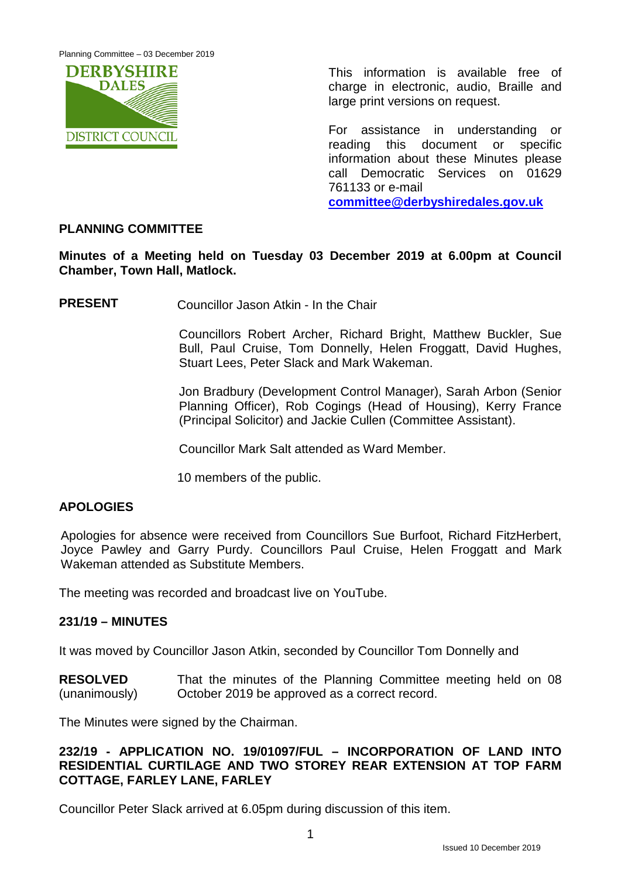Planning Committee – 03 December 2019



This information is available free of charge in electronic, audio, Braille and large print versions on request.

For assistance in understanding or reading this document or specific information about these Minutes please call Democratic Services on 01629 761133 or e-mail **[committee@derbyshiredales.gov.uk](mailto:committee@derbyshiredales.gov.uk)**

# **PLANNING COMMITTEE**

**Minutes of a Meeting held on Tuesday 03 December 2019 at 6.00pm at Council Chamber, Town Hall, Matlock.**

**PRESENT** Councillor Jason Atkin - In the Chair

Councillors Robert Archer, Richard Bright, Matthew Buckler, Sue Bull, Paul Cruise, Tom Donnelly, Helen Froggatt, David Hughes, Stuart Lees, Peter Slack and Mark Wakeman.

Jon Bradbury (Development Control Manager), Sarah Arbon (Senior Planning Officer), Rob Cogings (Head of Housing), Kerry France (Principal Solicitor) and Jackie Cullen (Committee Assistant).

Councillor Mark Salt attended as Ward Member.

10 members of the public.

# **APOLOGIES**

Apologies for absence were received from Councillors Sue Burfoot, Richard FitzHerbert, Joyce Pawley and Garry Purdy. Councillors Paul Cruise, Helen Froggatt and Mark Wakeman attended as Substitute Members.

The meeting was recorded and broadcast live on YouTube.

# **231/19 – MINUTES**

It was moved by Councillor Jason Atkin, seconded by Councillor Tom Donnelly and

**RESOLVED** (unanimously) That the minutes of the Planning Committee meeting held on 08 October 2019 be approved as a correct record.

The Minutes were signed by the Chairman.

# **232/19 - APPLICATION NO. 19/01097/FUL – INCORPORATION OF LAND INTO RESIDENTIAL CURTILAGE AND TWO STOREY REAR EXTENSION AT TOP FARM COTTAGE, FARLEY LANE, FARLEY**

Councillor Peter Slack arrived at 6.05pm during discussion of this item.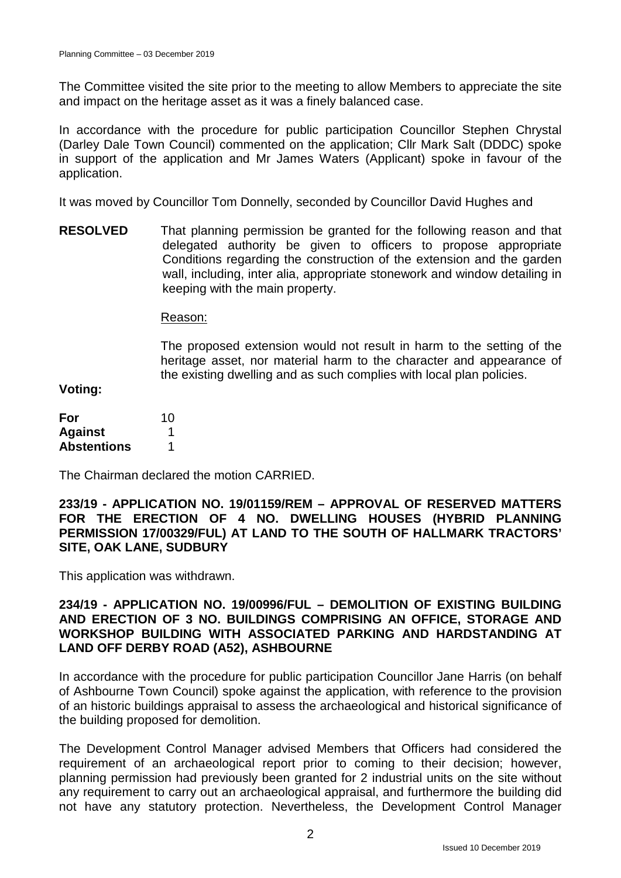The Committee visited the site prior to the meeting to allow Members to appreciate the site and impact on the heritage asset as it was a finely balanced case.

In accordance with the procedure for public participation Councillor Stephen Chrystal (Darley Dale Town Council) commented on the application; Cllr Mark Salt (DDDC) spoke in support of the application and Mr James Waters (Applicant) spoke in favour of the application.

It was moved by Councillor Tom Donnelly, seconded by Councillor David Hughes and

**RESOLVED** That planning permission be granted for the following reason and that delegated authority be given to officers to propose appropriate Conditions regarding the construction of the extension and the garden wall, including, inter alia, appropriate stonework and window detailing in keeping with the main property.

Reason:

The proposed extension would not result in harm to the setting of the heritage asset, nor material harm to the character and appearance of the existing dwelling and as such complies with local plan policies.

**Voting:**

| For                | 10 |
|--------------------|----|
| <b>Against</b>     |    |
| <b>Abstentions</b> |    |

The Chairman declared the motion CARRIED.

**233/19 - APPLICATION NO. 19/01159/REM – APPROVAL OF RESERVED MATTERS FOR THE ERECTION OF 4 NO. DWELLING HOUSES (HYBRID PLANNING PERMISSION 17/00329/FUL) AT LAND TO THE SOUTH OF HALLMARK TRACTORS' SITE, OAK LANE, SUDBURY**

This application was withdrawn.

# **234/19 - APPLICATION NO. 19/00996/FUL – DEMOLITION OF EXISTING BUILDING AND ERECTION OF 3 NO. BUILDINGS COMPRISING AN OFFICE, STORAGE AND WORKSHOP BUILDING WITH ASSOCIATED PARKING AND HARDSTANDING AT LAND OFF DERBY ROAD (A52), ASHBOURNE**

In accordance with the procedure for public participation Councillor Jane Harris (on behalf of Ashbourne Town Council) spoke against the application, with reference to the provision of an historic buildings appraisal to assess the archaeological and historical significance of the building proposed for demolition.

The Development Control Manager advised Members that Officers had considered the requirement of an archaeological report prior to coming to their decision; however, planning permission had previously been granted for 2 industrial units on the site without any requirement to carry out an archaeological appraisal, and furthermore the building did not have any statutory protection. Nevertheless, the Development Control Manager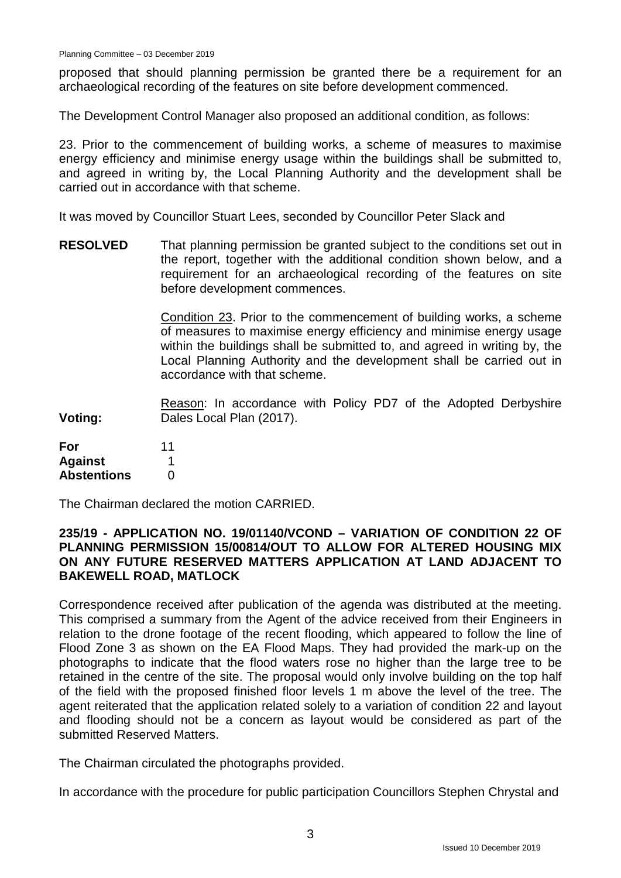proposed that should planning permission be granted there be a requirement for an archaeological recording of the features on site before development commenced.

The Development Control Manager also proposed an additional condition, as follows:

23. Prior to the commencement of building works, a scheme of measures to maximise energy efficiency and minimise energy usage within the buildings shall be submitted to, and agreed in writing by, the Local Planning Authority and the development shall be carried out in accordance with that scheme.

It was moved by Councillor Stuart Lees, seconded by Councillor Peter Slack and

**RESOLVED** That planning permission be granted subject to the conditions set out in the report, together with the additional condition shown below, and a requirement for an archaeological recording of the features on site before development commences.

> Condition 23. Prior to the commencement of building works, a scheme of measures to maximise energy efficiency and minimise energy usage within the buildings shall be submitted to, and agreed in writing by, the Local Planning Authority and the development shall be carried out in accordance with that scheme.

**Voting:** Reason: In accordance with Policy PD7 of the Adopted Derbyshire Dales Local Plan (2017).

| For                | 11 |
|--------------------|----|
| <b>Against</b>     |    |
| <b>Abstentions</b> | O  |

The Chairman declared the motion CARRIED.

### **235/19 - APPLICATION NO. 19/01140/VCOND – VARIATION OF CONDITION 22 OF PLANNING PERMISSION 15/00814/OUT TO ALLOW FOR ALTERED HOUSING MIX ON ANY FUTURE RESERVED MATTERS APPLICATION AT LAND ADJACENT TO BAKEWELL ROAD, MATLOCK**

Correspondence received after publication of the agenda was distributed at the meeting. This comprised a summary from the Agent of the advice received from their Engineers in relation to the drone footage of the recent flooding, which appeared to follow the line of Flood Zone 3 as shown on the EA Flood Maps. They had provided the mark-up on the photographs to indicate that the flood waters rose no higher than the large tree to be retained in the centre of the site. The proposal would only involve building on the top half of the field with the proposed finished floor levels 1 m above the level of the tree. The agent reiterated that the application related solely to a variation of condition 22 and layout and flooding should not be a concern as layout would be considered as part of the submitted Reserved Matters.

The Chairman circulated the photographs provided.

In accordance with the procedure for public participation Councillors Stephen Chrystal and